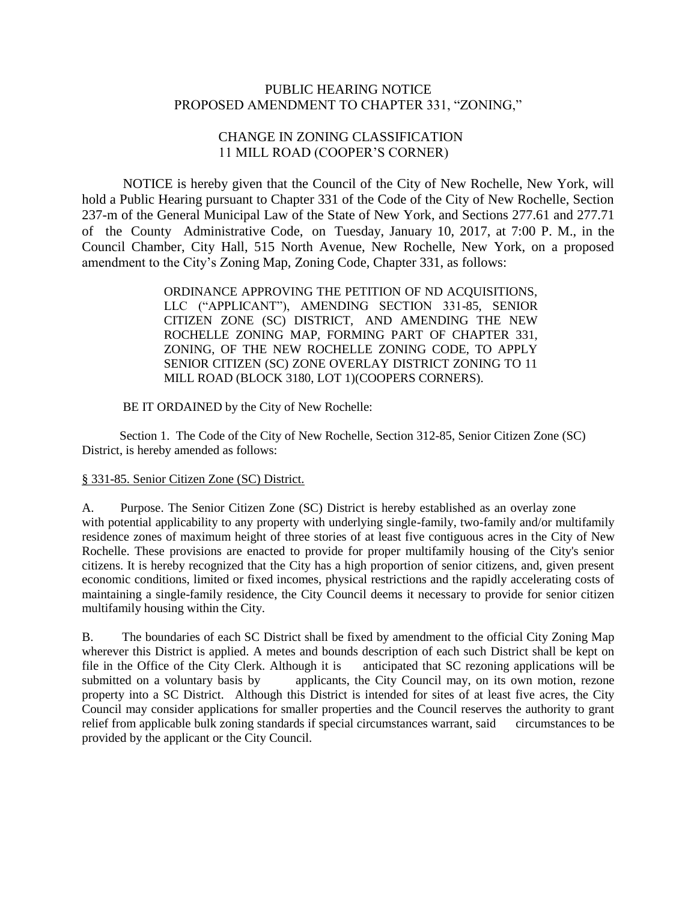## PUBLIC HEARING NOTICE PROPOSED AMENDMENT TO CHAPTER 331, "ZONING,"

## CHANGE IN ZONING CLASSIFICATION 11 MILL ROAD (COOPER'S CORNER)

NOTICE is hereby given that the Council of the City of New Rochelle, New York, will hold a Public Hearing pursuant to Chapter 331 of the Code of the City of New Rochelle, Section 237-m of the General Municipal Law of the State of New York, and Sections 277.61 and 277.71 of the County Administrative Code, on Tuesday, January 10, 2017, at 7:00 P. M., in the Council Chamber, City Hall, 515 North Avenue, New Rochelle, New York, on a proposed amendment to the City's Zoning Map, Zoning Code, Chapter 331, as follows:

> ORDINANCE APPROVING THE PETITION OF ND ACQUISITIONS, LLC ("APPLICANT"), AMENDING SECTION 331-85, SENIOR CITIZEN ZONE (SC) DISTRICT, AND AMENDING THE NEW ROCHELLE ZONING MAP, FORMING PART OF CHAPTER 331, ZONING, OF THE NEW ROCHELLE ZONING CODE, TO APPLY SENIOR CITIZEN (SC) ZONE OVERLAY DISTRICT ZONING TO 11 MILL ROAD (BLOCK 3180, LOT 1)(COOPERS CORNERS).

BE IT ORDAINED by the City of New Rochelle:

 Section 1. The Code of the City of New Rochelle, Section 312-85, Senior Citizen Zone (SC) District, is hereby amended as follows:

## § [331-85. Senior Citizen Zone \(SC\) District.](http://ecode360.com/print/NE0964?guid=6731538#6731538)

A. Purpose. The Senior Citizen Zone (SC) District is hereby established as an overlay zone with potential applicability to any property with underlying single-family, two-family and/or multifamily residence zones of maximum height of three stories of at least five contiguous acres in the City of New Rochelle. These provisions are enacted to provide for proper multifamily housing of the City's senior citizens. It is hereby recognized that the City has a high proportion of senior citizens, and, given present economic conditions, limited or fixed incomes, physical restrictions and the rapidly accelerating costs of maintaining a single-family residence, the City Council deems it necessary to provide for senior citizen multifamily housing within the City.

B. The boundaries of each SC District shall be fixed by amendment to the official City Zoning Map wherever this District is applied. A metes and bounds description of each such District shall be kept on file in the Office of the City Clerk. Although it is anticipated that SC rezoning applications will be submitted on a voluntary basis by applicants, the City Council may, on its own motion, rezone applicants, the City Council may, on its own motion, rezone property into a SC District. Although this District is intended for sites of at least five acres, the City Council may consider applications for smaller properties and the Council reserves the authority to grant relief from applicable bulk zoning standards if special circumstances warrant, said circumstances to be provided by the applicant or the City Council.